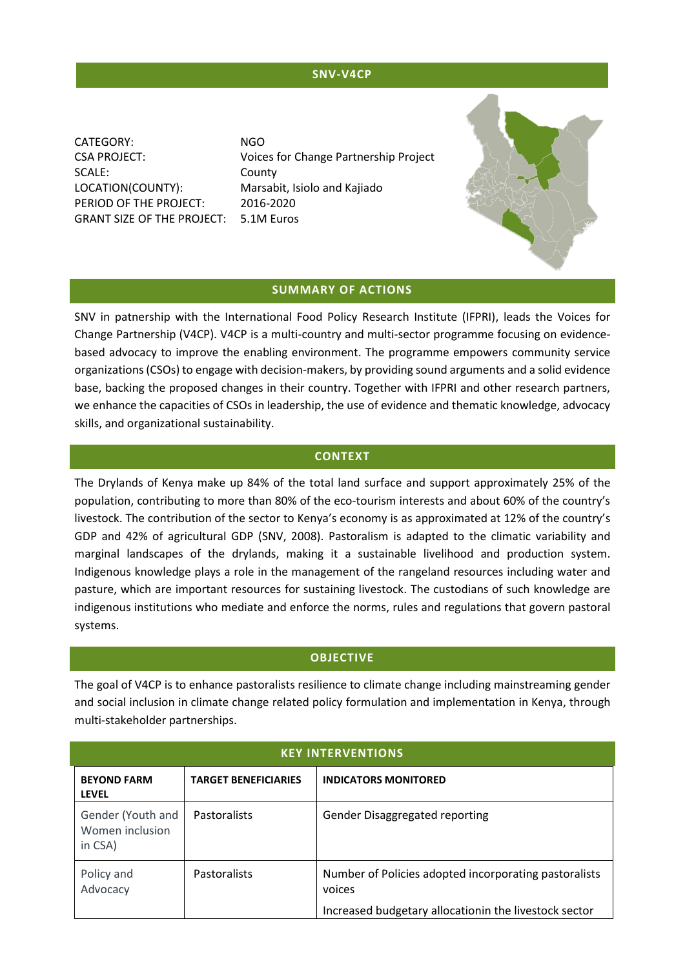## **SNV-V4CP**

CATEGORY: NGO SCALE: County LOCATION(COUNTY): Marsabit, Isiolo and Kajiado PERIOD OF THE PROJECT: 2016-2020 GRANT SIZE OF THE PROJECT: 5.1M Euros

CSA PROJECT: Voices for Change Partnership Project



#### **SUMMARY OF ACTIONS**

SNV in patnership with the International Food Policy Research Institute (IFPRI), leads the Voices for Change Partnership (V4CP). V4CP is a multi-country and multi-sector programme focusing on evidencebased advocacy to improve the enabling environment. The programme empowers community service organizations (CSOs) to engage with decision-makers, by providing sound arguments and a solid evidence base, backing the proposed changes in their country. Together with IFPRI and other research partners, we enhance the capacities of CSOs in leadership, the use of evidence and thematic knowledge, advocacy skills, and organizational sustainability.

#### **CONTEXT**

The Drylands of Kenya make up 84% of the total land surface and support approximately 25% of the population, contributing to more than 80% of the eco-tourism interests and about 60% of the country's livestock. The contribution of the sector to Kenya's economy is as approximated at 12% of the country's GDP and 42% of agricultural GDP (SNV, 2008). Pastoralism is adapted to the climatic variability and marginal landscapes of the drylands, making it a sustainable livelihood and production system. Indigenous knowledge plays a role in the management of the rangeland resources including water and pasture, which are important resources for sustaining livestock. The custodians of such knowledge are indigenous institutions who mediate and enforce the norms, rules and regulations that govern pastoral systems.

#### **OBJECTIVE**

The goal of V4CP is to enhance pastoralists resilience to climate change including mainstreaming gender and social inclusion in climate change related policy formulation and implementation in Kenya, through multi-stakeholder partnerships.

| <b>KEY INTERVENTIONS</b>                        |                             |                                                                                                                          |  |
|-------------------------------------------------|-----------------------------|--------------------------------------------------------------------------------------------------------------------------|--|
| <b>BEYOND FARM</b><br><b>LEVEL</b>              | <b>TARGET BENEFICIARIES</b> | <b>INDICATORS MONITORED</b>                                                                                              |  |
| Gender (Youth and<br>Women inclusion<br>in CSA) | Pastoralists                | <b>Gender Disaggregated reporting</b>                                                                                    |  |
| Policy and<br>Advocacy                          | <b>Pastoralists</b>         | Number of Policies adopted incorporating pastoralists<br>voices<br>Increased budgetary allocationin the livestock sector |  |